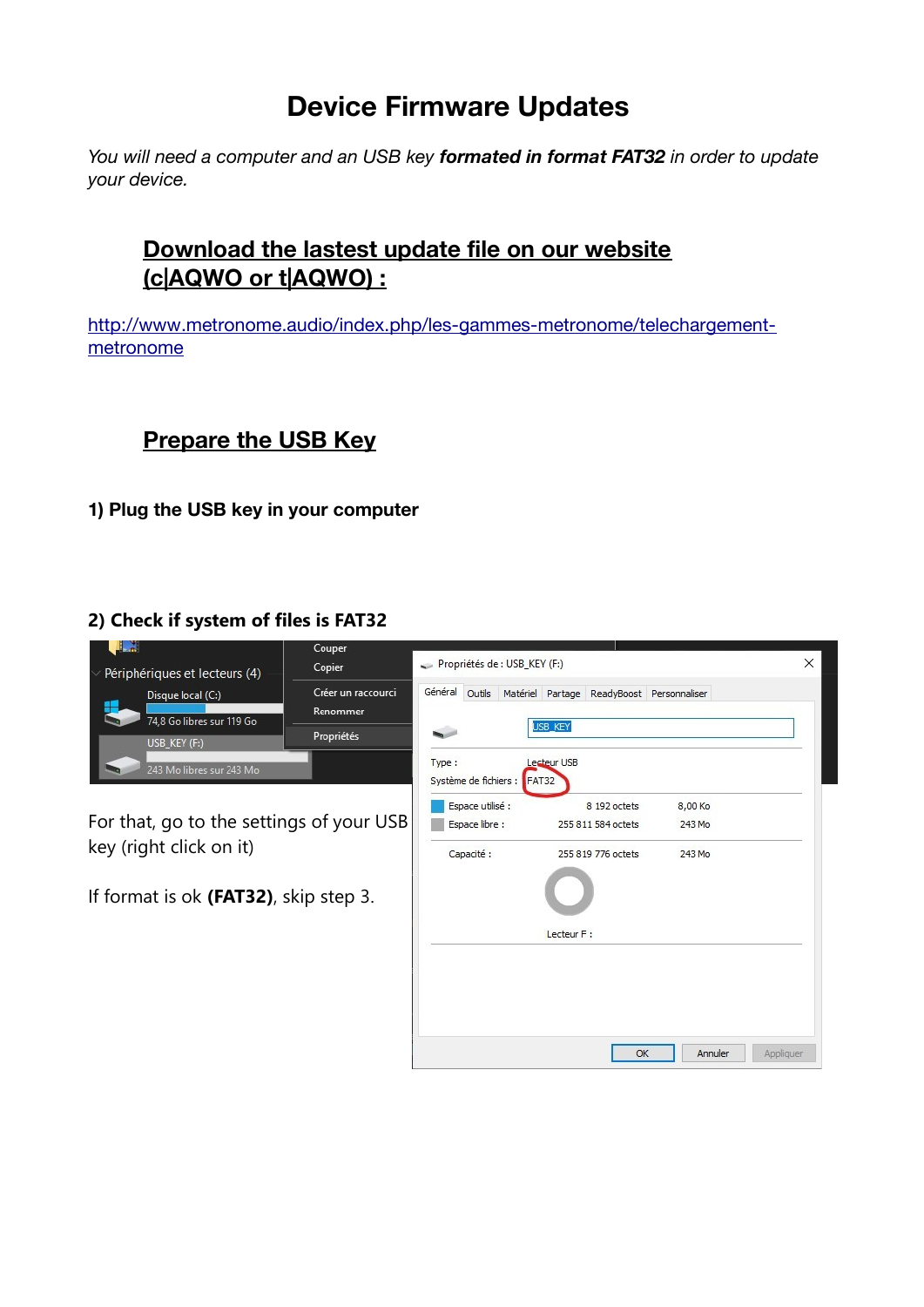# **Device Firmware Updates**

*You will need a computer and an USB key formated in format FAT32 in order to update your device.*

## **Download the lastest update file on our website (c|AQWO or t|AQWO) :**

[http://www.metronome.audio/index.php/les-gammes-metronome/telechargement](http://www.metronome.audio/index.php/les-gammes-metronome/telechargement-metronome)[metronome](http://www.metronome.audio/index.php/les-gammes-metronome/telechargement-metronome)

## **Prepare the USB Key**

**1) Plug the USB key in your computer**

#### **2) Check if system of files is FAT32**

| $\overline{a}$<br>Périphériques et lecteurs (4)<br>Disque local (C:)<br>٥.<br>74,8 Go libres sur 119 Go<br>USB_KEY (F:)<br>243 Mo libres sur 243 Mo | Couper<br>Copier<br>Créer un raccourci<br>Renommer<br>Propriétés | Propriétés de : USB_KEY (F:)<br>Type:                                          | Général Outils Matériel Partage ReadyBoost Personnaliser<br>USB_KEY<br>Lecteur USB |                             | X         |
|-----------------------------------------------------------------------------------------------------------------------------------------------------|------------------------------------------------------------------|--------------------------------------------------------------------------------|------------------------------------------------------------------------------------|-----------------------------|-----------|
| For that, go to the settings of your USB<br>key (right click on it)<br>If format is ok (FAT32), skip step 3.                                        |                                                                  | Système de fichiers : FAT32<br>Espace utilisé :<br>Espace libre :<br>Capacité: | 8 192 octets<br>255 811 584 octets<br>255 819 776 octets                           | 8,00 Ko<br>243 Mo<br>243 Mo |           |
|                                                                                                                                                     |                                                                  |                                                                                | Lecteur F :<br>OK                                                                  | Annuler                     | Appliquer |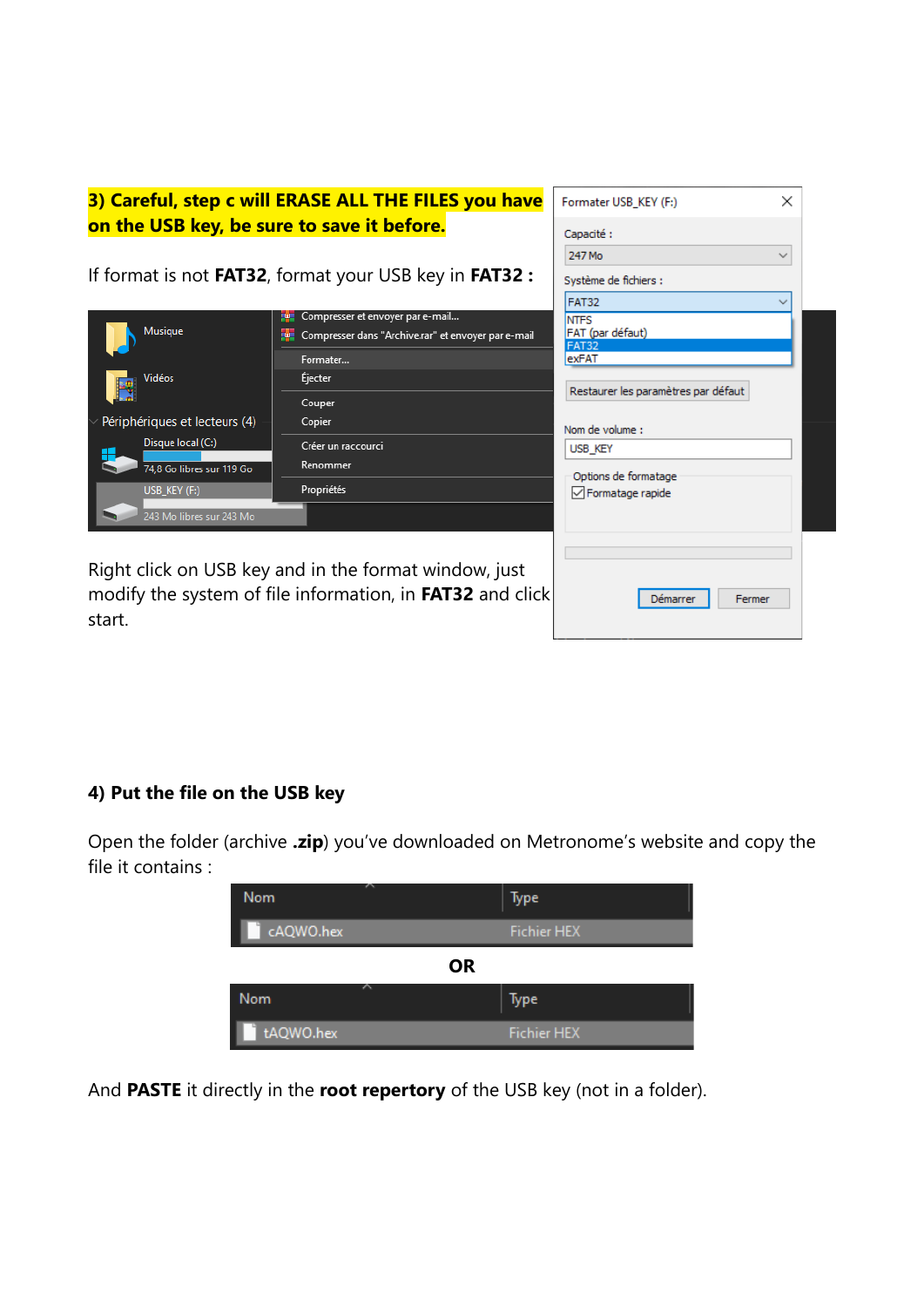| 3) Careful, step c will ERASE ALL THE FILES you have<br>on the USB key, be sure to save it before. | ×<br>Formater USB_KEY (F:)<br>Capacité:<br>247 Mo<br>$\checkmark$                                                  |                                                                 |
|----------------------------------------------------------------------------------------------------|--------------------------------------------------------------------------------------------------------------------|-----------------------------------------------------------------|
|                                                                                                    | If format is not <b>FAT32</b> , format your USB key in <b>FAT32 :</b>                                              | Système de fichiers :                                           |
| Musique                                                                                            | Compresser et envoyer par e-mail<br>22<br>Compresser dans "Archive.rar" et envoyer par e-mail<br>iw.               | <b>FAT32</b><br><b>NTFS</b><br>FAT (par défaut)<br><b>FAT32</b> |
| Vidéos                                                                                             | Formater<br><b>Éjecter</b><br>Couper                                                                               | exFAT<br>Restaurer les paramètres par défaut                    |
| Périphériques et lecteurs (4)<br>Disque local (C:)                                                 | Copier<br>Créer un raccourci                                                                                       | Nom de volume :<br><b>USB KEY</b>                               |
| 74.8 Go libres sur 119 Go<br>USB_KEY (F:)                                                          | Renommer<br>Propriétés                                                                                             | Options de formatage<br>$\sqrt{}$ Formatage rapide              |
| 243 Mo libres sur 243 Mo                                                                           |                                                                                                                    |                                                                 |
| start.                                                                                             | Right click on USB key and in the format window, just<br>modify the system of file information, in FAT32 and click | Fermer<br>Démarrer                                              |

### **4) Put the file on the USB key**

Open the folder (archive **.zip**) you've downloaded on Metronome's website and copy the file it contains :

| <b>Nom</b>       | Type               |
|------------------|--------------------|
| cAQWO.hex        | <b>Fichier HEX</b> |
| <b>OR</b>        |                    |
| 47<br><b>Nom</b> | Type               |
| tAQWO.hex        | <b>Fichier HEX</b> |

And **PASTE** it directly in the **root repertory** of the USB key (not in a folder).